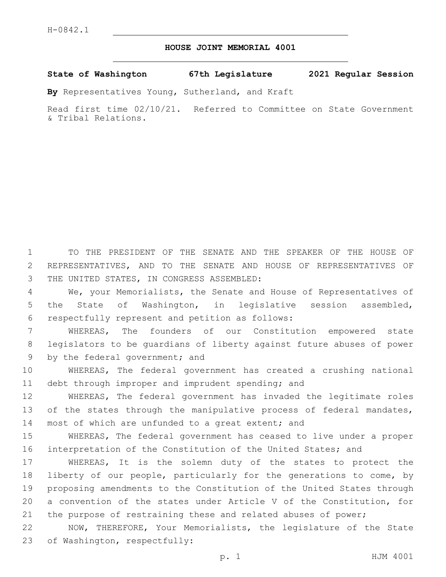## **HOUSE JOINT MEMORIAL 4001**

**State of Washington 67th Legislature 2021 Regular Session**

**By** Representatives Young, Sutherland, and Kraft

Read first time 02/10/21. Referred to Committee on State Government & Tribal Relations.

1 TO THE PRESIDENT OF THE SENATE AND THE SPEAKER OF THE HOUSE OF 2 REPRESENTATIVES, AND TO THE SENATE AND HOUSE OF REPRESENTATIVES OF 3 THE UNITED STATES, IN CONGRESS ASSEMBLED:

4 We, your Memorialists, the Senate and House of Representatives of 5 the State of Washington, in legislative session assembled, respectfully represent and petition as follows:6

7 WHEREAS, The founders of our Constitution empowered state 8 legislators to be guardians of liberty against future abuses of power 9 by the federal government; and

10 WHEREAS, The federal government has created a crushing national 11 debt through improper and imprudent spending; and

12 WHEREAS, The federal government has invaded the legitimate roles 13 of the states through the manipulative process of federal mandates, 14 most of which are unfunded to a great extent; and

15 WHEREAS, The federal government has ceased to live under a proper 16 interpretation of the Constitution of the United States; and

 WHEREAS, It is the solemn duty of the states to protect the liberty of our people, particularly for the generations to come, by proposing amendments to the Constitution of the United States through a convention of the states under Article V of the Constitution, for the purpose of restraining these and related abuses of power;

22 NOW, THEREFORE, Your Memorialists, the legislature of the State 23 of Washington, respectfully: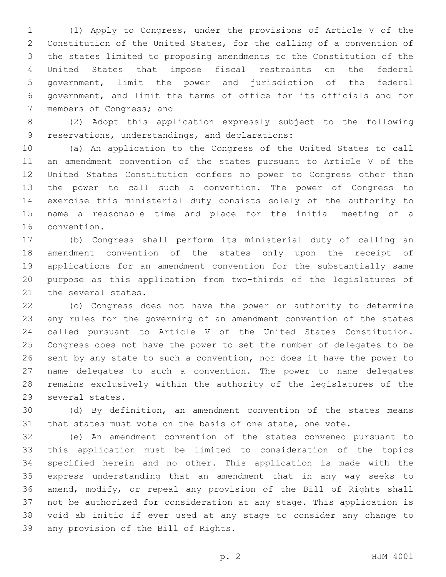(1) Apply to Congress, under the provisions of Article V of the Constitution of the United States, for the calling of a convention of the states limited to proposing amendments to the Constitution of the United States that impose fiscal restraints on the federal government, limit the power and jurisdiction of the federal government, and limit the terms of office for its officials and for 7 members of Congress; and

 (2) Adopt this application expressly subject to the following 9 reservations, understandings, and declarations:

 (a) An application to the Congress of the United States to call an amendment convention of the states pursuant to Article V of the United States Constitution confers no power to Congress other than the power to call such a convention. The power of Congress to exercise this ministerial duty consists solely of the authority to name a reasonable time and place for the initial meeting of a 16 convention.

 (b) Congress shall perform its ministerial duty of calling an amendment convention of the states only upon the receipt of applications for an amendment convention for the substantially same purpose as this application from two-thirds of the legislatures of 21 the several states.

 (c) Congress does not have the power or authority to determine any rules for the governing of an amendment convention of the states called pursuant to Article V of the United States Constitution. Congress does not have the power to set the number of delegates to be sent by any state to such a convention, nor does it have the power to name delegates to such a convention. The power to name delegates remains exclusively within the authority of the legislatures of the 29 several states.

 (d) By definition, an amendment convention of the states means that states must vote on the basis of one state, one vote.

 (e) An amendment convention of the states convened pursuant to this application must be limited to consideration of the topics specified herein and no other. This application is made with the express understanding that an amendment that in any way seeks to amend, modify, or repeal any provision of the Bill of Rights shall not be authorized for consideration at any stage. This application is void ab initio if ever used at any stage to consider any change to 39 any provision of the Bill of Rights.